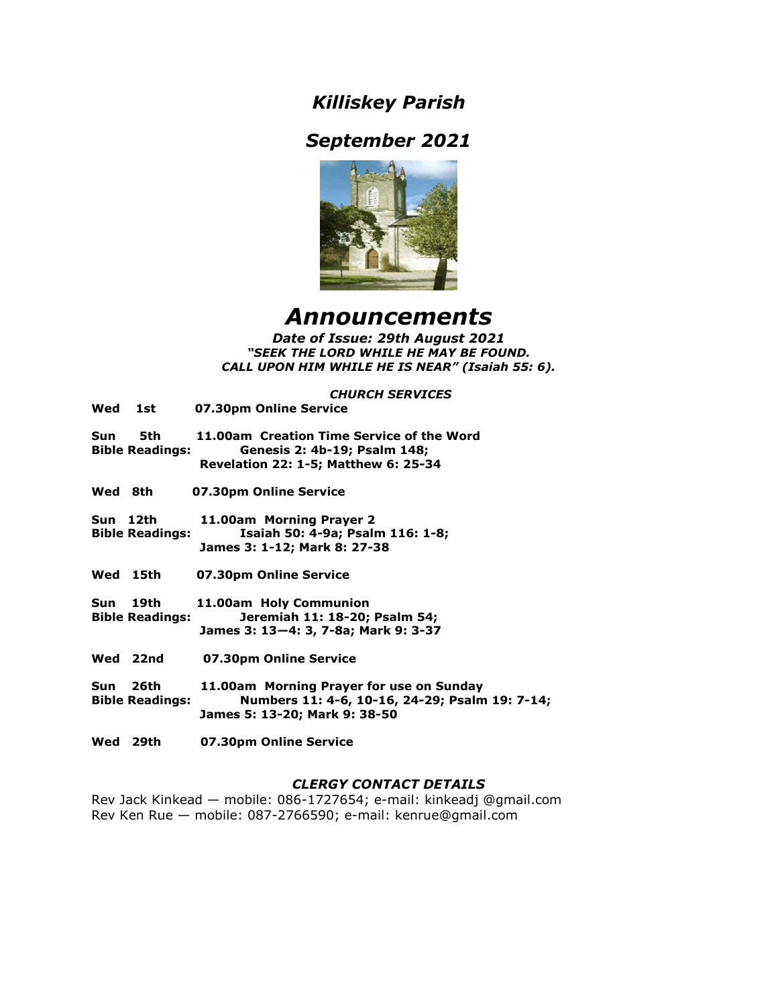# *Killiskey Parish*

# *September 2021*



# *Announcements*

*Date of Issue: 29th August 2021 "SEEK THE LORD WHILE HE MAY BE FOUND. CALL UPON HIM WHILE HE IS NEAR" (Isaiah 55: 6).*

## *CHURCH SERVICES*

|         | Wed 1st                            | 07.30pm Online Service                                                                                                      |
|---------|------------------------------------|-----------------------------------------------------------------------------------------------------------------------------|
| Sun     | 5th<br><b>Bible Readings:</b>      | 11.00am Creation Time Service of the Word<br>Genesis 2: 4b-19; Psalm 148;<br><b>Revelation 22: 1-5; Matthew 6: 25-34</b>    |
| Wed 8th |                                    | 07.30pm Online Service                                                                                                      |
|         | Sun 12th<br><b>Bible Readings:</b> | 11.00am Morning Prayer 2<br>Isaiah 50: 4-9a; Psalm 116: 1-8;<br>James 3: 1-12; Mark 8: 27-38                                |
|         | Wed 15th                           | 07.30pm Online Service                                                                                                      |
| Sun     | 19th<br><b>Bible Readings:</b>     | 11.00am Holy Communion<br>Jeremiah 11: 18-20; Psalm 54;<br>James 3: 13–4: 3, 7-8a; Mark 9: 3-37                             |
|         | Wed 22nd                           | 07.30pm Online Service                                                                                                      |
| Sun     | 26th<br><b>Bible Readings:</b>     | 11.00am Morning Prayer for use on Sunday<br>Numbers 11: 4-6, 10-16, 24-29; Psalm 19: 7-14;<br>James 5: 13-20; Mark 9: 38-50 |

**Wed 29th 07.30pm Online Service** 

# *CLERGY CONTACT DETAILS*

Rev Jack Kinkead — mobile: 086-1727654; e-mail: kinkeadj @gmail.com Rev Ken Rue — mobile: 087-2766590; e-mail: kenrue@gmail.com